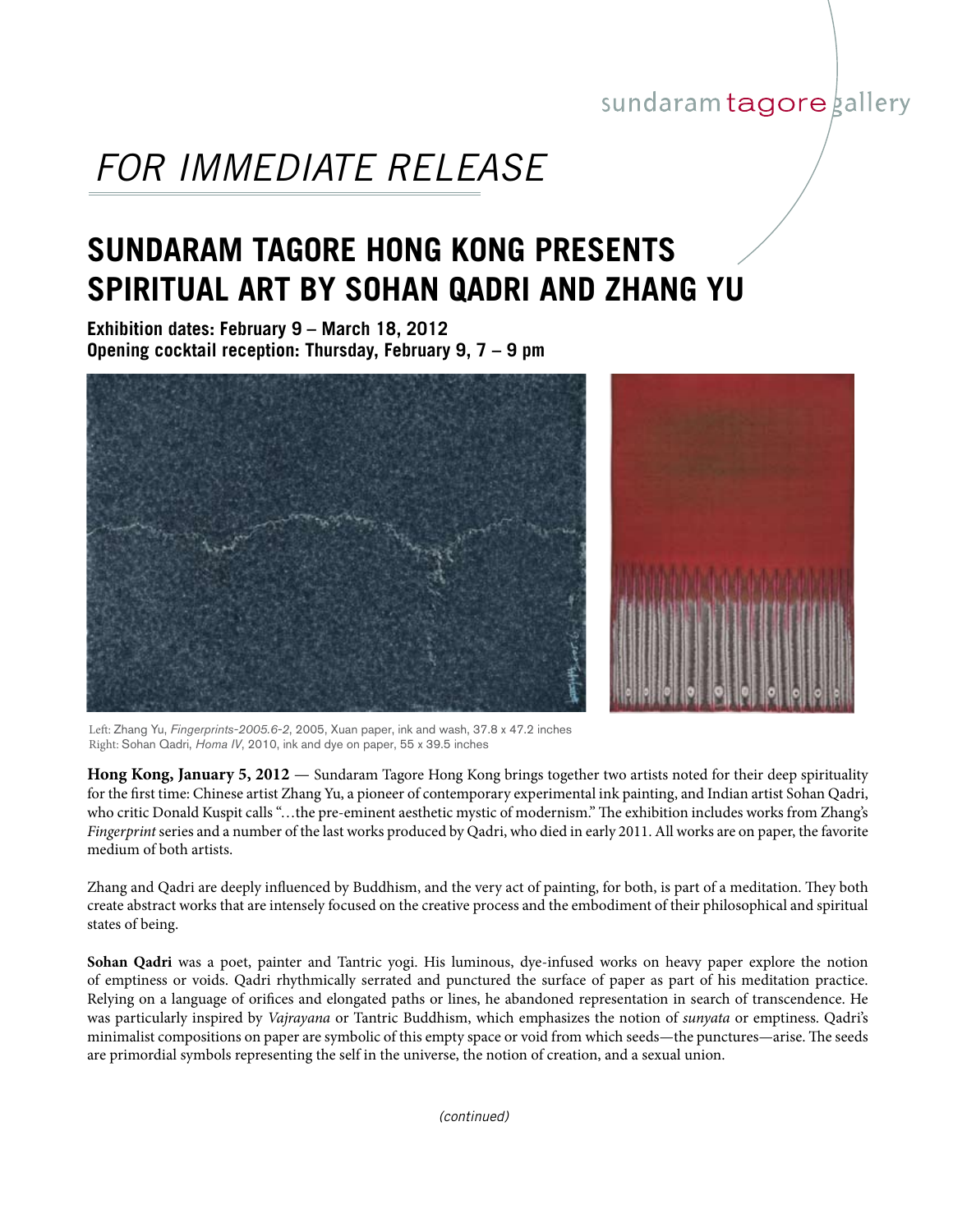## sundaram tagore gallery

## *FOR IMMEDIATE RELEASE*

## **SUNDARAM TAGORE HONG KONG PRESENTS SPIRITUAL ART BY SOHAN QADRI AND ZHANG YU**

**Exhibition dates: February 9 – March 18, 2012 Opening cocktail reception: Thursday, February 9, 7 – 9 pm**



Left: Zhang Yu, *Fingerprints-2005.6-2*, 2005, Xuan paper, ink and wash, 37.8 x 47.2 inches Right: Sohan Qadri, *Homa IV*, 2010, ink and dye on paper, 55 x 39.5 inches

**Hong Kong, January 5, 2012** — Sundaram Tagore Hong Kong brings together two artists noted for their deep spirituality for the first time: Chinese artist Zhang Yu, a pioneer of contemporary experimental ink painting, and Indian artist Sohan Qadri, who critic Donald Kuspit calls "…the pre-eminent aesthetic mystic of modernism." The exhibition includes works from Zhang's *Fingerprint* series and a number of the last works produced by Qadri, who died in early 2011. All works are on paper, the favorite medium of both artists.

Zhang and Qadri are deeply influenced by Buddhism, and the very act of painting, for both, is part of a meditation. They both create abstract works that are intensely focused on the creative process and the embodiment of their philosophical and spiritual states of being.

**Sohan Qadri** was a poet, painter and Tantric yogi. His luminous, dye-infused works on heavy paper explore the notion of emptiness or voids. Qadri rhythmically serrated and punctured the surface of paper as part of his meditation practice. Relying on a language of orifices and elongated paths or lines, he abandoned representation in search of transcendence. He was particularly inspired by *Vajrayana* or Tantric Buddhism, which emphasizes the notion of *sunyata* or emptiness. Qadri's minimalist compositions on paper are symbolic of this empty space or void from which seeds—the punctures—arise. The seeds are primordial symbols representing the self in the universe, the notion of creation, and a sexual union.

*(continued)*